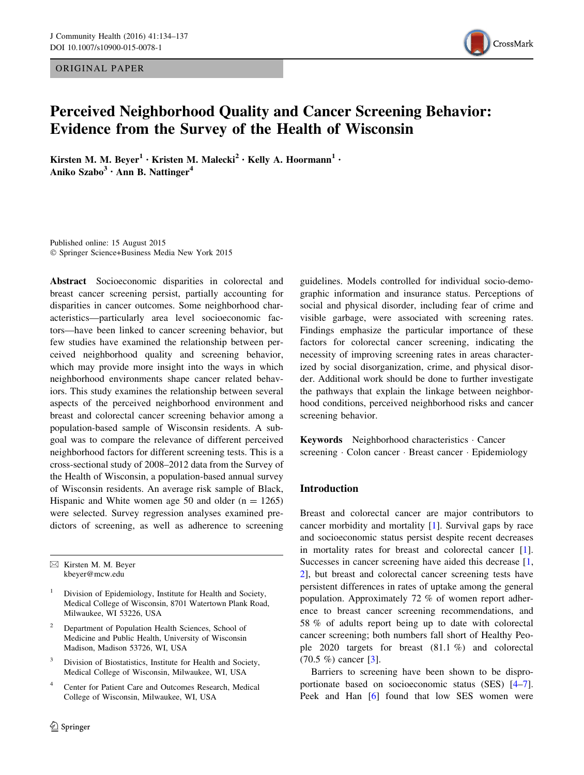ORIGINAL PAPER



# Perceived Neighborhood Quality and Cancer Screening Behavior: Evidence from the Survey of the Health of Wisconsin

Kirsten M. M. Beyer<sup>1</sup> • Kristen M. Malecki<sup>2</sup> • Kelly A. Hoormann<sup>1</sup> • Aniko Szabo $3 \cdot$ Ann B. Nattinger<sup>4</sup>

Published online: 15 August 2015 - Springer Science+Business Media New York 2015

Abstract Socioeconomic disparities in colorectal and breast cancer screening persist, partially accounting for disparities in cancer outcomes. Some neighborhood characteristics—particularly area level socioeconomic factors—have been linked to cancer screening behavior, but few studies have examined the relationship between perceived neighborhood quality and screening behavior, which may provide more insight into the ways in which neighborhood environments shape cancer related behaviors. This study examines the relationship between several aspects of the perceived neighborhood environment and breast and colorectal cancer screening behavior among a population-based sample of Wisconsin residents. A subgoal was to compare the relevance of different perceived neighborhood factors for different screening tests. This is a cross-sectional study of 2008–2012 data from the Survey of the Health of Wisconsin, a population-based annual survey of Wisconsin residents. An average risk sample of Black, Hispanic and White women age 50 and older  $(n = 1265)$ were selected. Survey regression analyses examined predictors of screening, as well as adherence to screening

 $\boxtimes$  Kirsten M. M. Beyer kbeyer@mcw.edu

- <sup>1</sup> Division of Epidemiology, Institute for Health and Society, Medical College of Wisconsin, 8701 Watertown Plank Road, Milwaukee, WI 53226, USA
- <sup>2</sup> Department of Population Health Sciences, School of Medicine and Public Health, University of Wisconsin Madison, Madison 53726, WI, USA
- Division of Biostatistics, Institute for Health and Society, Medical College of Wisconsin, Milwaukee, WI, USA
- <sup>4</sup> Center for Patient Care and Outcomes Research, Medical College of Wisconsin, Milwaukee, WI, USA

guidelines. Models controlled for individual socio-demographic information and insurance status. Perceptions of social and physical disorder, including fear of crime and visible garbage, were associated with screening rates. Findings emphasize the particular importance of these factors for colorectal cancer screening, indicating the necessity of improving screening rates in areas characterized by social disorganization, crime, and physical disorder. Additional work should be done to further investigate the pathways that explain the linkage between neighborhood conditions, perceived neighborhood risks and cancer screening behavior.

Keywords Neighborhood characteristics - Cancer screening · Colon cancer · Breast cancer · Epidemiology

# Introduction

Breast and colorectal cancer are major contributors to cancer morbidity and mortality [[1](#page-3-0)]. Survival gaps by race and socioeconomic status persist despite recent decreases in mortality rates for breast and colorectal cancer [\[1](#page-3-0)]. Successes in cancer screening have aided this decrease [[1,](#page-3-0) [2](#page-3-0)], but breast and colorectal cancer screening tests have persistent differences in rates of uptake among the general population. Approximately 72 % of women report adherence to breast cancer screening recommendations, and 58 % of adults report being up to date with colorectal cancer screening; both numbers fall short of Healthy People 2020 targets for breast (81.1 %) and colorectal (70.5 %) cancer [\[3](#page-3-0)].

Barriers to screening have been shown to be disproportionate based on socioeconomic status (SES) [\[4–7](#page-3-0)]. Peek and Han [[6\]](#page-3-0) found that low SES women were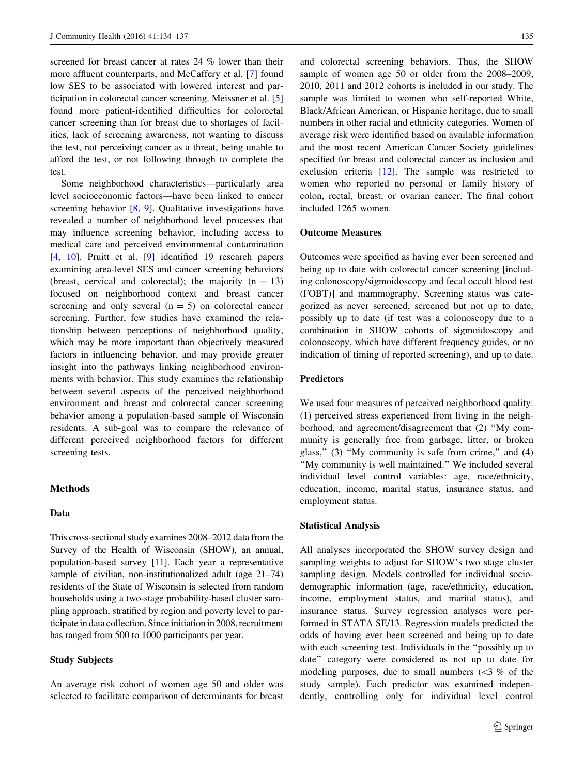screened for breast cancer at rates 24 % lower than their more affluent counterparts, and McCaffery et al. [\[7](#page-3-0)] found low SES to be associated with lowered interest and participation in colorectal cancer screening. Meissner et al. [[5\]](#page-3-0) found more patient-identified difficulties for colorectal cancer screening than for breast due to shortages of facilities, lack of screening awareness, not wanting to discuss the test, not perceiving cancer as a threat, being unable to afford the test, or not following through to complete the test.

Some neighborhood characteristics—particularly area level socioeconomic factors—have been linked to cancer screening behavior [[8,](#page-3-0) [9](#page-3-0)]. Qualitative investigations have revealed a number of neighborhood level processes that may influence screening behavior, including access to medical care and perceived environmental contamination [\[4](#page-3-0), [10\]](#page-3-0). Pruitt et al. [[9\]](#page-3-0) identified 19 research papers examining area-level SES and cancer screening behaviors (breast, cervical and colorectal); the majority  $(n = 13)$ focused on neighborhood context and breast cancer screening and only several  $(n = 5)$  on colorectal cancer screening. Further, few studies have examined the relationship between perceptions of neighborhood quality, which may be more important than objectively measured factors in influencing behavior, and may provide greater insight into the pathways linking neighborhood environments with behavior. This study examines the relationship between several aspects of the perceived neighborhood environment and breast and colorectal cancer screening behavior among a population-based sample of Wisconsin residents. A sub-goal was to compare the relevance of different perceived neighborhood factors for different screening tests.

# **Methods**

# Data

This cross-sectional study examines 2008–2012 data from the Survey of the Health of Wisconsin (SHOW), an annual, population-based survey [[11](#page-3-0)]. Each year a representative sample of civilian, non-institutionalized adult (age 21–74) residents of the State of Wisconsin is selected from random households using a two-stage probability-based cluster sampling approach, stratified by region and poverty level to participate in data collection. Since initiation in 2008, recruitment has ranged from 500 to 1000 participants per year.

### Study Subjects

An average risk cohort of women age 50 and older was selected to facilitate comparison of determinants for breast

and colorectal screening behaviors. Thus, the SHOW sample of women age 50 or older from the 2008–2009, 2010, 2011 and 2012 cohorts is included in our study. The sample was limited to women who self-reported White, Black/African American, or Hispanic heritage, due to small numbers in other racial and ethnicity categories. Women of average risk were identified based on available information and the most recent American Cancer Society guidelines specified for breast and colorectal cancer as inclusion and exclusion criteria [[12\]](#page-3-0). The sample was restricted to women who reported no personal or family history of colon, rectal, breast, or ovarian cancer. The final cohort included 1265 women.

#### Outcome Measures

Outcomes were specified as having ever been screened and being up to date with colorectal cancer screening [including colonoscopy/sigmoidoscopy and fecal occult blood test (FOBT)] and mammography. Screening status was categorized as never screened, screened but not up to date, possibly up to date (if test was a colonoscopy due to a combination in SHOW cohorts of sigmoidoscopy and colonoscopy, which have different frequency guides, or no indication of timing of reported screening), and up to date.

# **Predictors**

We used four measures of perceived neighborhood quality: (1) perceived stress experienced from living in the neighborhood, and agreement/disagreement that (2) ''My community is generally free from garbage, litter, or broken glass,"  $(3)$  "My community is safe from crime," and  $(4)$ "My community is well maintained." We included several individual level control variables: age, race/ethnicity, education, income, marital status, insurance status, and employment status.

#### Statistical Analysis

All analyses incorporated the SHOW survey design and sampling weights to adjust for SHOW's two stage cluster sampling design. Models controlled for individual sociodemographic information (age, race/ethnicity, education, income, employment status, and marital status), and insurance status. Survey regression analyses were performed in STATA SE/13. Regression models predicted the odds of having ever been screened and being up to date with each screening test. Individuals in the "possibly up to date'' category were considered as not up to date for modeling purposes, due to small numbers  $\langle$  <3 % of the study sample). Each predictor was examined independently, controlling only for individual level control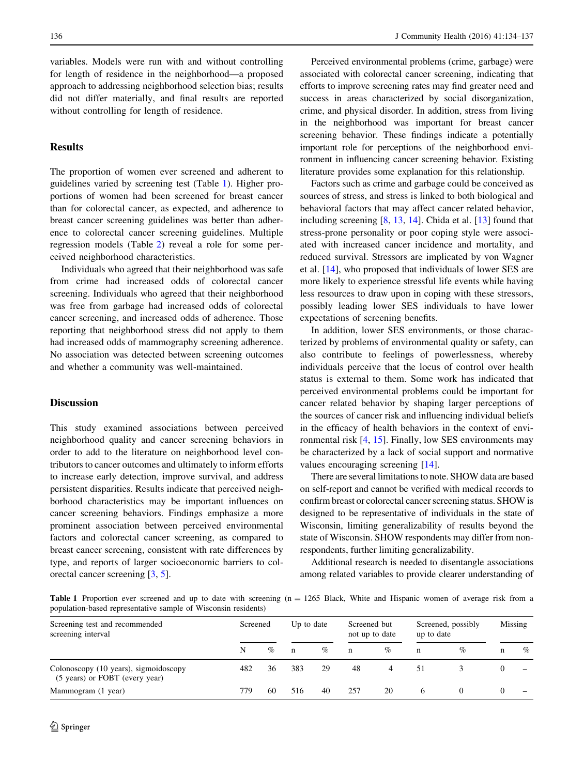variables. Models were run with and without controlling for length of residence in the neighborhood—a proposed approach to addressing neighborhood selection bias; results did not differ materially, and final results are reported without controlling for length of residence.

### Results

The proportion of women ever screened and adherent to guidelines varied by screening test (Table 1). Higher proportions of women had been screened for breast cancer than for colorectal cancer, as expected, and adherence to breast cancer screening guidelines was better than adherence to colorectal cancer screening guidelines. Multiple regression models (Table [2\)](#page-3-0) reveal a role for some perceived neighborhood characteristics.

Individuals who agreed that their neighborhood was safe from crime had increased odds of colorectal cancer screening. Individuals who agreed that their neighborhood was free from garbage had increased odds of colorectal cancer screening, and increased odds of adherence. Those reporting that neighborhood stress did not apply to them had increased odds of mammography screening adherence. No association was detected between screening outcomes and whether a community was well-maintained.

# **Discussion**

This study examined associations between perceived neighborhood quality and cancer screening behaviors in order to add to the literature on neighborhood level contributors to cancer outcomes and ultimately to inform efforts to increase early detection, improve survival, and address persistent disparities. Results indicate that perceived neighborhood characteristics may be important influences on cancer screening behaviors. Findings emphasize a more prominent association between perceived environmental factors and colorectal cancer screening, as compared to breast cancer screening, consistent with rate differences by type, and reports of larger socioeconomic barriers to colorectal cancer screening [[3,](#page-3-0) [5\]](#page-3-0).

Perceived environmental problems (crime, garbage) were associated with colorectal cancer screening, indicating that efforts to improve screening rates may find greater need and success in areas characterized by social disorganization, crime, and physical disorder. In addition, stress from living in the neighborhood was important for breast cancer screening behavior. These findings indicate a potentially important role for perceptions of the neighborhood environment in influencing cancer screening behavior. Existing literature provides some explanation for this relationship.

Factors such as crime and garbage could be conceived as sources of stress, and stress is linked to both biological and behavioral factors that may affect cancer related behavior, including screening [\[8](#page-3-0), [13](#page-3-0), [14](#page-3-0)]. Chida et al. [\[13](#page-3-0)] found that stress-prone personality or poor coping style were associated with increased cancer incidence and mortality, and reduced survival. Stressors are implicated by von Wagner et al. [\[14](#page-3-0)], who proposed that individuals of lower SES are more likely to experience stressful life events while having less resources to draw upon in coping with these stressors, possibly leading lower SES individuals to have lower expectations of screening benefits.

In addition, lower SES environments, or those characterized by problems of environmental quality or safety, can also contribute to feelings of powerlessness, whereby individuals perceive that the locus of control over health status is external to them. Some work has indicated that perceived environmental problems could be important for cancer related behavior by shaping larger perceptions of the sources of cancer risk and influencing individual beliefs in the efficacy of health behaviors in the context of environmental risk [\[4](#page-3-0), [15\]](#page-3-0). Finally, low SES environments may be characterized by a lack of social support and normative values encouraging screening [[14\]](#page-3-0).

There are several limitations to note. SHOW data are based on self-report and cannot be verified with medical records to confirm breast or colorectal cancer screening status. SHOW is designed to be representative of individuals in the state of Wisconsin, limiting generalizability of results beyond the state of Wisconsin. SHOW respondents may differ from nonrespondents, further limiting generalizability.

Additional research is needed to disentangle associations among related variables to provide clearer understanding of

Table 1 Proportion ever screened and up to date with screening (n = 1265 Black, White and Hispanic women of average risk from a population-based representative sample of Wisconsin residents)

| Screening test and recommended<br>screening interval                    | Screened |      | Up to date |      | Screened but<br>not up to date |      | Screened, possibly<br>up to date |      | Missing |                          |
|-------------------------------------------------------------------------|----------|------|------------|------|--------------------------------|------|----------------------------------|------|---------|--------------------------|
|                                                                         | N        | $\%$ | n          | $\%$ | $\mathbf n$                    | $\%$ | n                                | $\%$ | n       | $\%$                     |
| Colonoscopy (10 years), sigmoidoscopy<br>(5 years) or FOBT (every year) | 482      | 36   | 383        | 29   | 48                             |      | 51                               |      |         |                          |
| Mammogram (1 year)                                                      | 779      | 60   | 516        | 40   | 257                            | 20   | 6                                |      |         | $\overline{\phantom{a}}$ |